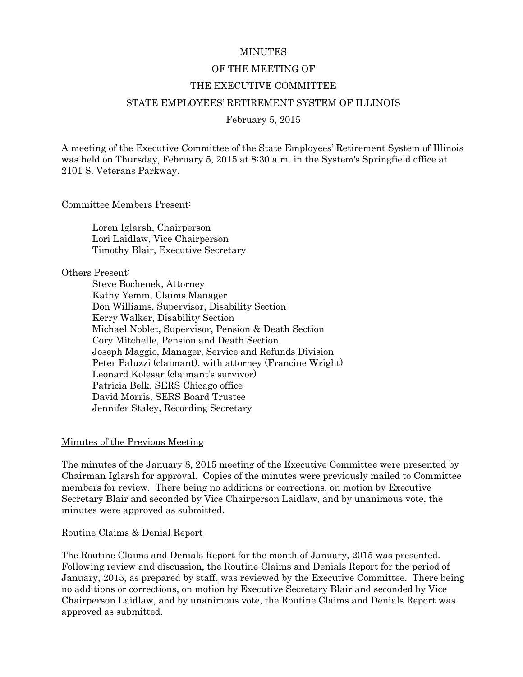### **MINUTES**

### OF THE MEETING OF

### THE EXECUTIVE COMMITTEE

### STATE EMPLOYEES' RETIREMENT SYSTEM OF ILLINOIS

### February 5, 2015

A meeting of the Executive Committee of the State Employees' Retirement System of Illinois was held on Thursday, February 5, 2015 at 8:30 a.m. in the System's Springfield office at 2101 S. Veterans Parkway.

Committee Members Present:

Loren Iglarsh, Chairperson Lori Laidlaw, Vice Chairperson Timothy Blair, Executive Secretary

Others Present:

Steve Bochenek, Attorney Kathy Yemm, Claims Manager Don Williams, Supervisor, Disability Section Kerry Walker, Disability Section Michael Noblet, Supervisor, Pension & Death Section Cory Mitchelle, Pension and Death Section Joseph Maggio, Manager, Service and Refunds Division Peter Paluzzi (claimant), with attorney (Francine Wright) Leonard Kolesar (claimant's survivor) Patricia Belk, SERS Chicago office David Morris, SERS Board Trustee Jennifer Staley, Recording Secretary

### Minutes of the Previous Meeting

The minutes of the January 8, 2015 meeting of the Executive Committee were presented by Chairman Iglarsh for approval. Copies of the minutes were previously mailed to Committee members for review. There being no additions or corrections, on motion by Executive Secretary Blair and seconded by Vice Chairperson Laidlaw, and by unanimous vote, the minutes were approved as submitted.

### Routine Claims & Denial Report

The Routine Claims and Denials Report for the month of January, 2015 was presented. Following review and discussion, the Routine Claims and Denials Report for the period of January, 2015, as prepared by staff, was reviewed by the Executive Committee. There being no additions or corrections, on motion by Executive Secretary Blair and seconded by Vice Chairperson Laidlaw, and by unanimous vote, the Routine Claims and Denials Report was approved as submitted.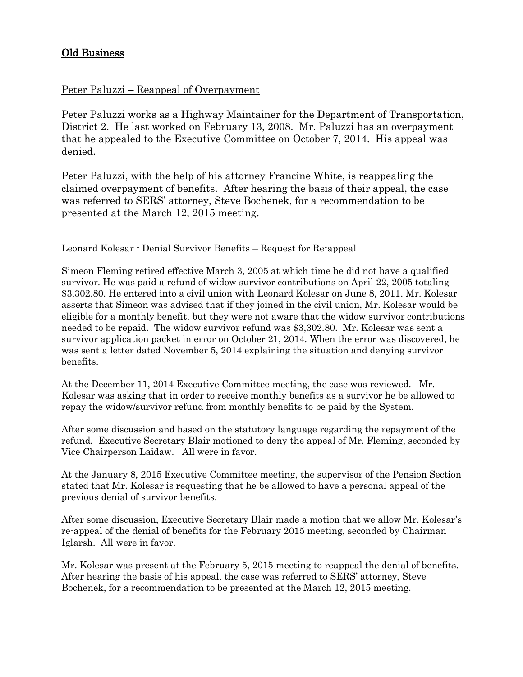# Old Business

# Peter Paluzzi – Reappeal of Overpayment

Peter Paluzzi works as a Highway Maintainer for the Department of Transportation, District 2. He last worked on February 13, 2008. Mr. Paluzzi has an overpayment that he appealed to the Executive Committee on October 7, 2014. His appeal was denied.

Peter Paluzzi, with the help of his attorney Francine White, is reappealing the claimed overpayment of benefits. After hearing the basis of their appeal, the case was referred to SERS' attorney, Steve Bochenek, for a recommendation to be presented at the March 12, 2015 meeting.

## Leonard Kolesar - Denial Survivor Benefits – Request for Re-appeal

Simeon Fleming retired effective March 3, 2005 at which time he did not have a qualified survivor. He was paid a refund of widow survivor contributions on April 22, 2005 totaling \$3,302.80. He entered into a civil union with Leonard Kolesar on June 8, 2011. Mr. Kolesar asserts that Simeon was advised that if they joined in the civil union, Mr. Kolesar would be eligible for a monthly benefit, but they were not aware that the widow survivor contributions needed to be repaid. The widow survivor refund was \$3,302.80. Mr. Kolesar was sent a survivor application packet in error on October 21, 2014. When the error was discovered, he was sent a letter dated November 5, 2014 explaining the situation and denying survivor benefits.

At the December 11, 2014 Executive Committee meeting, the case was reviewed. Mr. Kolesar was asking that in order to receive monthly benefits as a survivor he be allowed to repay the widow/survivor refund from monthly benefits to be paid by the System.

After some discussion and based on the statutory language regarding the repayment of the refund, Executive Secretary Blair motioned to deny the appeal of Mr. Fleming, seconded by Vice Chairperson Laidaw. All were in favor.

At the January 8, 2015 Executive Committee meeting, the supervisor of the Pension Section stated that Mr. Kolesar is requesting that he be allowed to have a personal appeal of the previous denial of survivor benefits.

After some discussion, Executive Secretary Blair made a motion that we allow Mr. Kolesar's re-appeal of the denial of benefits for the February 2015 meeting, seconded by Chairman Iglarsh. All were in favor.

Mr. Kolesar was present at the February 5, 2015 meeting to reappeal the denial of benefits. After hearing the basis of his appeal, the case was referred to SERS' attorney, Steve Bochenek, for a recommendation to be presented at the March 12, 2015 meeting.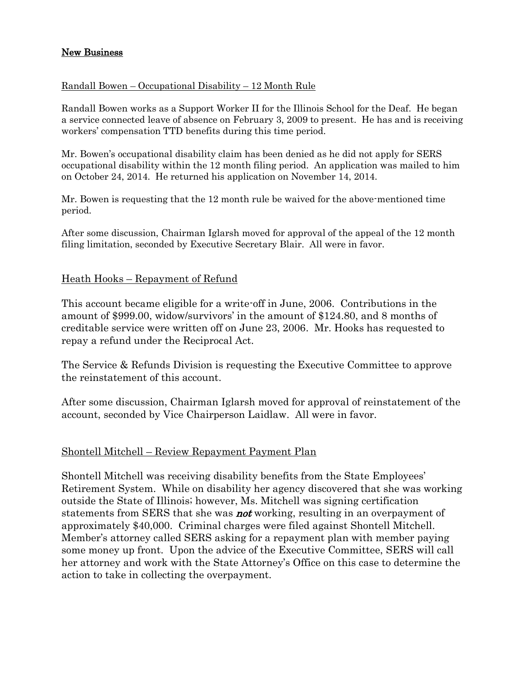## New Business

## Randall Bowen – Occupational Disability – 12 Month Rule

Randall Bowen works as a Support Worker II for the Illinois School for the Deaf. He began a service connected leave of absence on February 3, 2009 to present. He has and is receiving workers' compensation TTD benefits during this time period.

Mr. Bowen's occupational disability claim has been denied as he did not apply for SERS occupational disability within the 12 month filing period. An application was mailed to him on October 24, 2014. He returned his application on November 14, 2014.

Mr. Bowen is requesting that the 12 month rule be waived for the above-mentioned time period.

After some discussion, Chairman Iglarsh moved for approval of the appeal of the 12 month filing limitation, seconded by Executive Secretary Blair. All were in favor.

# Heath Hooks – Repayment of Refund

This account became eligible for a write-off in June, 2006. Contributions in the amount of \$999.00, widow/survivors' in the amount of \$124.80, and 8 months of creditable service were written off on June 23, 2006. Mr. Hooks has requested to repay a refund under the Reciprocal Act.

The Service & Refunds Division is requesting the Executive Committee to approve the reinstatement of this account.

After some discussion, Chairman Iglarsh moved for approval of reinstatement of the account, seconded by Vice Chairperson Laidlaw. All were in favor.

# Shontell Mitchell – Review Repayment Payment Plan

Shontell Mitchell was receiving disability benefits from the State Employees' Retirement System. While on disability her agency discovered that she was working outside the State of Illinois; however, Ms. Mitchell was signing certification statements from SERS that she was **not** working, resulting in an overpayment of approximately \$40,000. Criminal charges were filed against Shontell Mitchell. Member's attorney called SERS asking for a repayment plan with member paying some money up front. Upon the advice of the Executive Committee, SERS will call her attorney and work with the State Attorney's Office on this case to determine the action to take in collecting the overpayment.